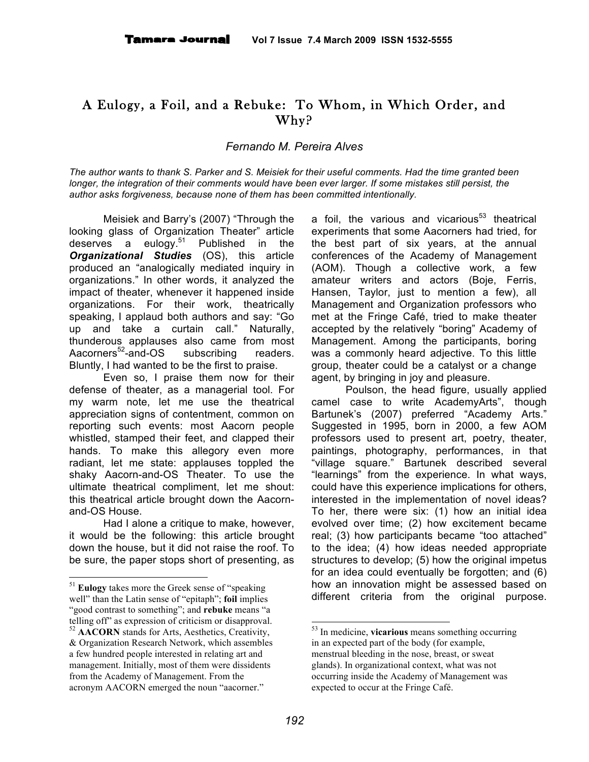## A Eulogy, a Foil, and a Rebuke: To Whom, in Which Order, and Why?

*Fernando M. Pereira Alves*

The author wants to thank S. Parker and S. Meisiek for their useful comments. Had the time granted been longer, the integration of their comments would have been ever larger. If some mistakes still persist, the *author asks forgiveness, because none of them has been committed intentionally.*

Meisiek and Barry's (2007) "Through the looking glass of Organization Theater" article deserves a eulogy. <sup>51</sup> Published in the *Organizational Studies* (OS), this article produced an "analogically mediated inquiry in organizations." In other words, it analyzed the impact of theater, whenever it happened inside organizations. For their work, theatrically speaking, I applaud both authors and say: "Go up and take a curtain call." Naturally, thunderous applauses also came from most Aacorners $52$ -and-OS subscribing readers. Bluntly, I had wanted to be the first to praise.

Even so, I praise them now for their defense of theater, as a managerial tool. For my warm note, let me use the theatrical appreciation signs of contentment, common on reporting such events: most Aacorn people whistled, stamped their feet, and clapped their hands. To make this allegory even more radiant, let me state: applauses toppled the shaky Aacorn-and-OS Theater. To use the ultimate theatrical compliment, let me shout: this theatrical article brought down the Aacornand-OS House.

Had I alone a critique to make, however, it would be the following: this article brought down the house, but it did not raise the roof. To be sure, the paper stops short of presenting, as

a foil, the various and vicarious<sup>53</sup> theatrical experiments that some Aacorners had tried, for the best part of six years, at the annual conferences of the Academy of Management (AOM). Though a collective work, a few amateur writers and actors (Boje, Ferris, Hansen, Taylor, just to mention a few), all Management and Organization professors who met at the Fringe Café, tried to make theater accepted by the relatively "boring" Academy of Management. Among the participants, boring was a commonly heard adjective. To this little group, theater could be a catalyst or a change agent, by bringing in joy and pleasure.

Poulson, the head figure, usually applied camel case to write AcademyArts", though Bartunek's (2007) preferred "Academy Arts." Suggested in 1995, born in 2000, a few AOM professors used to present art, poetry, theater, paintings, photography, performances, in that "village square." Bartunek described several "learnings" from the experience. In what ways, could have this experience implications for others, interested in the implementation of novel ideas? To her, there were six: (1) how an initial idea evolved over time; (2) how excitement became real; (3) how participants became "too attached" to the idea; (4) how ideas needed appropriate structures to develop; (5) how the original impetus for an idea could eventually be forgotten; and (6) how an innovation might be assessed based on different criteria from the original purpose.

 <sup>51</sup> **Eulogy** takes more the Greek sense of "speaking well" than the Latin sense of "epitaph"; **foil** implies "good contrast to something"; and **rebuke** means "a telling off" as expression of criticism or disapproval. <sup>52</sup> **AACORN** stands for Arts, Aesthetics, Creativity,

<sup>&</sup>amp; Organization Research Network, which assembles a few hundred people interested in relating art and management. Initially, most of them were dissidents from the Academy of Management. From the acronym AACORN emerged the noun "aacorner."

 <sup>53</sup> In medicine, **vicarious** means something occurring in an expected part of the body (for example, menstrual bleeding in the nose, breast, or sweat glands). In organizational context, what was not occurring inside the Academy of Management was expected to occur at the Fringe Café.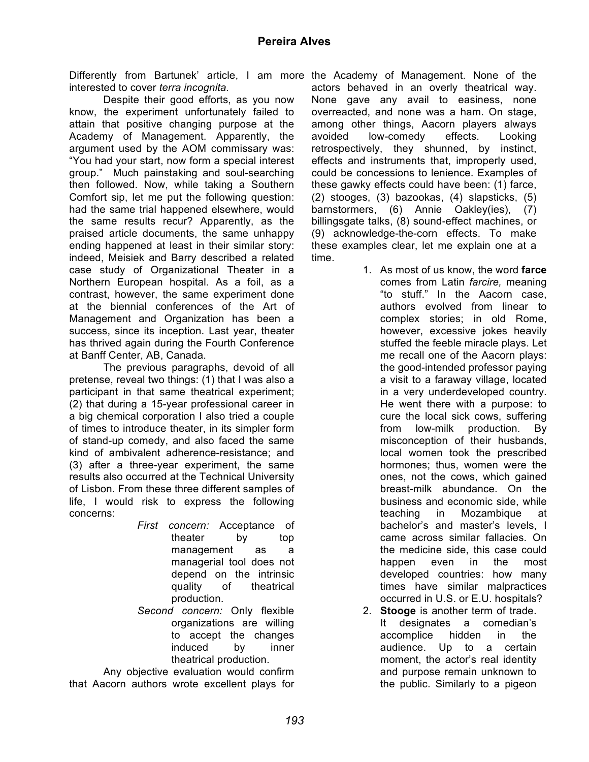Differently from Bartunek' article, I am more the Academy of Management. None of the interested to cover *terra incognita.*

Despite their good efforts, as you now know, the experiment unfortunately failed to attain that positive changing purpose at the Academy of Management. Apparently, the argument used by the AOM commissary was: "You had your start, now form a special interest group." Much painstaking and soul-searching then followed. Now, while taking a Southern Comfort sip, let me put the following question: had the same trial happened elsewhere, would the same results recur? Apparently, as the praised article documents, the same unhappy ending happened at least in their similar story: indeed, Meisiek and Barry described a related case study of Organizational Theater in a Northern European hospital. As a foil, as a contrast, however, the same experiment done at the biennial conferences of the Art of Management and Organization has been a success, since its inception. Last year, theater has thrived again during the Fourth Conference at Banff Center, AB, Canada.

The previous paragraphs, devoid of all pretense, reveal two things: (1) that I was also a participant in that same theatrical experiment; (2) that during a 15-year professional career in a big chemical corporation I also tried a couple of times to introduce theater, in its simpler form of stand-up comedy, and also faced the same kind of ambivalent adherence-resistance; and (3) after a three-year experiment, the same results also occurred at the Technical University of Lisbon. From these three different samples of life, I would risk to express the following concerns:

- *First concern:* Acceptance of theater by top management as a managerial tool does not depend on the intrinsic quality of theatrical production.
- *Second concern:* Only flexible organizations are willing to accept the changes induced by inner theatrical production.

Any objective evaluation would confirm that Aacorn authors wrote excellent plays for actors behaved in an overly theatrical way. None gave any avail to easiness, none overreacted, and none was a ham. On stage, among other things, Aacorn players always avoided low-comedy effects. Looking retrospectively, they shunned, by instinct, effects and instruments that, improperly used, could be concessions to lenience. Examples of these gawky effects could have been: (1) farce, (2) stooges, (3) bazookas, (4) slapsticks, (5) barnstormers, (6) Annie Oakley(ies), (7) billingsgate talks, (8) sound-effect machines, or (9) acknowledge-the-corn effects. To make these examples clear, let me explain one at a time.

- 1. As most of us know, the word **farce** comes from Latin *farcire,* meaning "to stuff." In the Aacorn case, authors evolved from linear to complex stories; in old Rome, however, excessive jokes heavily stuffed the feeble miracle plays. Let me recall one of the Aacorn plays: the good-intended professor paying a visit to a faraway village, located in a very underdeveloped country. He went there with a purpose: to cure the local sick cows, suffering from low-milk production. By misconception of their husbands, local women took the prescribed hormones; thus, women were the ones, not the cows, which gained breast-milk abundance. On the business and economic side, while teaching in Mozambique at bachelor's and master's levels, I came across similar fallacies. On the medicine side, this case could happen even in the most developed countries: how many times have similar malpractices occurred in U.S. or E.U. hospitals?
- 2. **Stooge** is another term of trade. It designates a comedian's accomplice hidden in the audience. Up to a certain moment, the actor's real identity and purpose remain unknown to the public. Similarly to a pigeon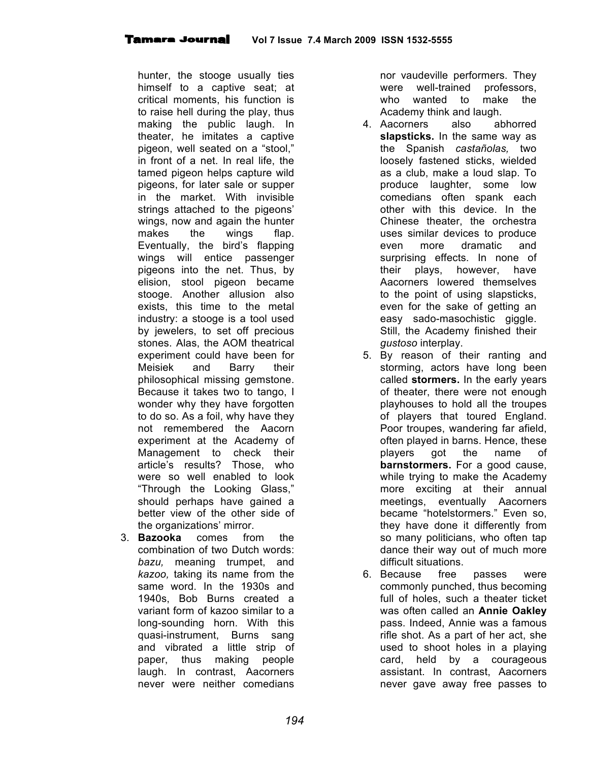hunter, the stooge usually ties himself to a captive seat; at critical moments, his function is to raise hell during the play, thus making the public laugh. In theater, he imitates a captive pigeon, well seated on a "stool," in front of a net. In real life, the tamed pigeon helps capture wild pigeons, for later sale or supper in the market. With invisible strings attached to the pigeons' wings, now and again the hunter makes the wings flap. Eventually, the bird's flapping wings will entice passenger pigeons into the net. Thus, by elision, stool pigeon became stooge. Another allusion also exists, this time to the metal industry: a stooge is a tool used by jewelers, to set off precious stones. Alas, the AOM theatrical experiment could have been for Meisiek and Barry their philosophical missing gemstone. Because it takes two to tango, I wonder why they have forgotten to do so. As a foil, why have they not remembered the Aacorn experiment at the Academy of Management to check their article's results? Those, who were so well enabled to look "Through the Looking Glass," should perhaps have gained a better view of the other side of the organizations' mirror.

3. **Bazooka** comes from the combination of two Dutch words: *bazu,* meaning trumpet, and *kazoo,* taking its name from the same word. In the 1930s and 1940s, Bob Burns created a variant form of kazoo similar to a long-sounding horn. With this quasi-instrument, Burns sang and vibrated a little strip of paper, thus making people laugh. In contrast, Aacorners never were neither comedians

nor vaudeville performers. They were well-trained professors, who wanted to make the Academy think and laugh.

- 4. Aacorners also abhorred **slapsticks.** In the same way as the Spanish *castañolas,* two loosely fastened sticks, wielded as a club, make a loud slap. To produce laughter, some low comedians often spank each other with this device. In the Chinese theater, the orchestra uses similar devices to produce even more dramatic and surprising effects. In none of their plays, however, have Aacorners lowered themselves to the point of using slapsticks, even for the sake of getting an easy sado-masochistic giggle. Still, the Academy finished their *gustoso* interplay.
- 5. By reason of their ranting and storming, actors have long been called **stormers.** In the early years of theater, there were not enough playhouses to hold all the troupes of players that toured England. Poor troupes, wandering far afield, often played in barns. Hence, these players got the name of **barnstormers.** For a good cause, while trying to make the Academy more exciting at their annual meetings, eventually Aacorners became "hotelstormers." Even so, they have done it differently from so many politicians, who often tap dance their way out of much more difficult situations.
- 6. Because free passes were commonly punched, thus becoming full of holes, such a theater ticket was often called an **Annie Oakley** pass. Indeed, Annie was a famous rifle shot. As a part of her act, she used to shoot holes in a playing card, held by a courageous assistant. In contrast, Aacorners never gave away free passes to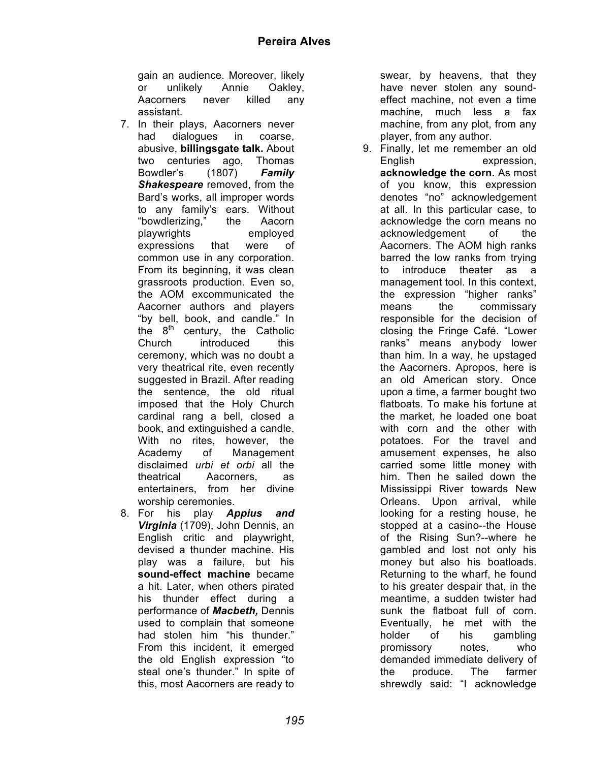gain an audience. Moreover, likely or unlikely Annie Oakley, Aacorners never killed any assistant.

- 7. In their plays, Aacorners never had dialogues in coarse, abusive, **billingsgate talk.** About two centuries ago, Thomas Bowdler's (1807) *Family Shakespeare* removed, from the Bard's works, all improper words to any family's ears. Without "bowdlerizing," the Aacorn playwrights employed expressions that were of common use in any corporation. From its beginning, it was clean grassroots production. Even so, the AOM excommunicated the Aacorner authors and players "by bell, book, and candle." In the  $8<sup>th</sup>$  century, the Catholic Church introduced this ceremony, which was no doubt a very theatrical rite, even recently suggested in Brazil. After reading the sentence, the old ritual imposed that the Holy Church cardinal rang a bell, closed a book, and extinguished a candle. With no rites, however, the Academy of Management disclaimed *urbi et orbi* all the theatrical Aacorners, as entertainers, from her divine worship ceremonies.
- 8. For his play *Appius and Virginia* (1709), John Dennis, an English critic and playwright, devised a thunder machine. His play was a failure, but his **sound-effect machine** became a hit. Later, when others pirated his thunder effect during a performance of *Macbeth,* Dennis used to complain that someone had stolen him "his thunder." From this incident, it emerged the old English expression "to steal one's thunder." In spite of this, most Aacorners are ready to

swear, by heavens, that they have never stolen any soundeffect machine, not even a time machine, much less a fax machine, from any plot, from any player, from any author.

9. Finally, let me remember an old English expression, **acknowledge the corn.** As most of you know, this expression denotes "no" acknowledgement at all. In this particular case, to acknowledge the corn means no acknowledgement of the Aacorners. The AOM high ranks barred the low ranks from trying to introduce theater as a management tool. In this context, the expression "higher ranks" means the commissary responsible for the decision of closing the Fringe Café. "Lower ranks" means anybody lower than him. In a way, he upstaged the Aacorners. Apropos, here is an old American story. Once upon a time, a farmer bought two flatboats. To make his fortune at the market, he loaded one boat with corn and the other with potatoes. For the travel and amusement expenses, he also carried some little money with him. Then he sailed down the Mississippi River towards New Orleans. Upon arrival, while looking for a resting house, he stopped at a casino--the House of the Rising Sun?--where he gambled and lost not only his money but also his boatloads. Returning to the wharf, he found to his greater despair that, in the meantime, a sudden twister had sunk the flatboat full of corn. Eventually, he met with the holder of his gambling promissory notes, who demanded immediate delivery of the produce. The farmer shrewdly said: "I acknowledge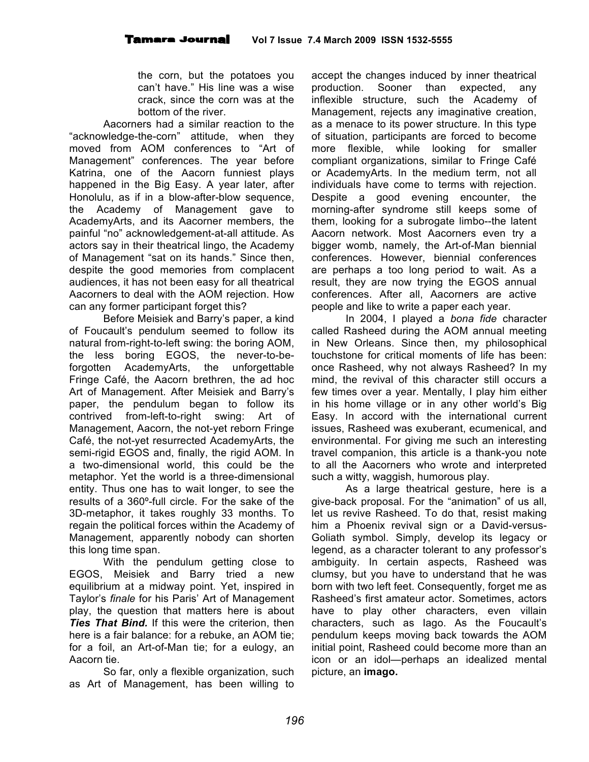the corn, but the potatoes you can't have." His line was a wise crack, since the corn was at the bottom of the river.

Aacorners had a similar reaction to the "acknowledge-the-corn" attitude, when they moved from AOM conferences to "Art of Management" conferences. The year before Katrina, one of the Aacorn funniest plays happened in the Big Easy. A year later, after Honolulu, as if in a blow-after-blow sequence, the Academy of Management gave to AcademyArts, and its Aacorner members, the painful "no" acknowledgement-at-all attitude. As actors say in their theatrical lingo, the Academy of Management "sat on its hands." Since then, despite the good memories from complacent audiences, it has not been easy for all theatrical Aacorners to deal with the AOM rejection. How can any former participant forget this?

Before Meisiek and Barry's paper, a kind of Foucault's pendulum seemed to follow its natural from-right-to-left swing: the boring AOM, the less boring EGOS, the never-to-beforgotten AcademyArts, the unforgettable Fringe Café, the Aacorn brethren, the ad hoc Art of Management. After Meisiek and Barry's paper, the pendulum began to follow its contrived from-left-to-right swing: Art of Management, Aacorn, the not-yet reborn Fringe Café, the not-yet resurrected AcademyArts, the semi-rigid EGOS and, finally, the rigid AOM. In a two-dimensional world, this could be the metaphor. Yet the world is a three-dimensional entity. Thus one has to wait longer, to see the results of a 360º-full circle. For the sake of the 3D-metaphor, it takes roughly 33 months. To regain the political forces within the Academy of Management, apparently nobody can shorten this long time span.

With the pendulum getting close to EGOS, Meisiek and Barry tried a new equilibrium at a midway point. Yet, inspired in Taylor's *finale* for his Paris' Art of Management play, the question that matters here is about *Ties That Bind.* If this were the criterion, then here is a fair balance: for a rebuke, an AOM tie; for a foil, an Art-of-Man tie; for a eulogy, an Aacorn tie.

So far, only a flexible organization, such as Art of Management, has been willing to

accept the changes induced by inner theatrical production. Sooner than expected, any inflexible structure, such the Academy of Management, rejects any imaginative creation, as a menace to its power structure. In this type of situation, participants are forced to become more flexible, while looking for smaller compliant organizations, similar to Fringe Café or AcademyArts. In the medium term, not all individuals have come to terms with rejection. Despite a good evening encounter, the morning-after syndrome still keeps some of them, looking for a subrogate limbo--the latent Aacorn network. Most Aacorners even try a bigger womb, namely, the Art-of-Man biennial conferences. However, biennial conferences are perhaps a too long period to wait. As a result, they are now trying the EGOS annual conferences. After all, Aacorners are active people and like to write a paper each year.

In 2004, I played a *bona fide* character called Rasheed during the AOM annual meeting in New Orleans. Since then, my philosophical touchstone for critical moments of life has been: once Rasheed, why not always Rasheed? In my mind, the revival of this character still occurs a few times over a year. Mentally, I play him either in his home village or in any other world's Big Easy. In accord with the international current issues, Rasheed was exuberant, ecumenical, and environmental. For giving me such an interesting travel companion, this article is a thank-you note to all the Aacorners who wrote and interpreted such a witty, waggish, humorous play.

As a large theatrical gesture, here is a give-back proposal. For the "animation" of us all, let us revive Rasheed. To do that, resist making him a Phoenix revival sign or a David-versus-Goliath symbol. Simply, develop its legacy or legend, as a character tolerant to any professor's ambiguity. In certain aspects, Rasheed was clumsy, but you have to understand that he was born with two left feet. Consequently, forget me as Rasheed's first amateur actor. Sometimes, actors have to play other characters, even villain characters, such as Iago. As the Foucault's pendulum keeps moving back towards the AOM initial point, Rasheed could become more than an icon or an idol—perhaps an idealized mental picture, an **imago.**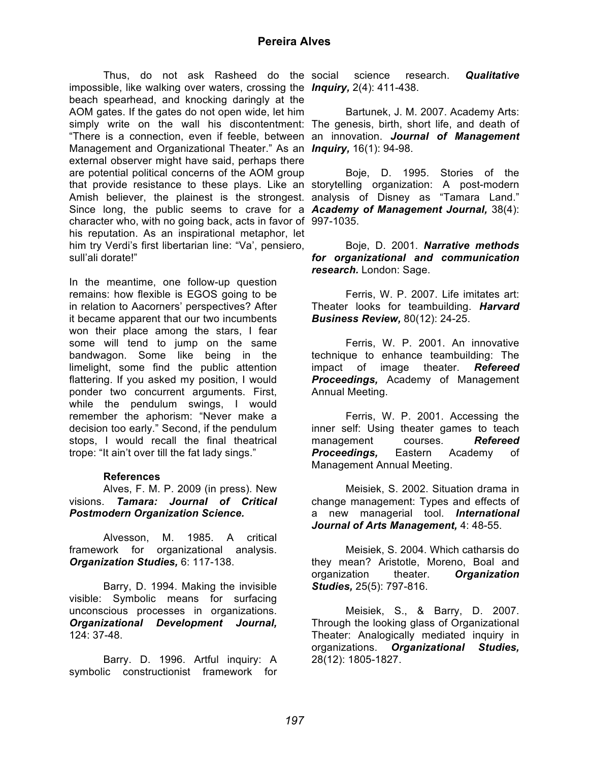impossible, like walking over waters, crossing the *Inquiry,* 2(4): 411-438. beach spearhead, and knocking daringly at the AOM gates. If the gates do not open wide, let him simply write on the wall his discontentment: The genesis, birth, short life, and death of "There is a connection, even if feeble, between an innovation. *Journal of Management* Management and Organizational Theater." As an *Inquiry,* 16(1): 94-98. external observer might have said, perhaps there are potential political concerns of the AOM group that provide resistance to these plays. Like an storytelling organization: A post-modern Amish believer, the plainest is the strongest. analysis of Disney as "Tamara Land." Since long, the public seems to crave for a *Academy of Management Journal,* 38(4): character who, with no going back, acts in favor of 997-1035. his reputation. As an inspirational metaphor, let him try Verdi's first libertarian line: "Va', pensiero, sull'ali dorate!"

In the meantime, one follow-up question remains: how flexible is EGOS going to be in relation to Aacorners' perspectives? After it became apparent that our two incumbents won their place among the stars, I fear some will tend to jump on the same bandwagon. Some like being in the limelight, some find the public attention flattering. If you asked my position, I would ponder two concurrent arguments. First, while the pendulum swings, I would remember the aphorism: "Never make a decision too early." Second, if the pendulum stops, I would recall the final theatrical trope: "It ain't over till the fat lady sings."

## **References**

Alves, F. M. P. 2009 (in press). New visions. *Tamara: Journal of Critical Postmodern Organization Science.*

Alvesson, M. 1985. A critical framework for organizational analysis. *Organization Studies,* 6: 117-138.

Barry, D. 1994. Making the invisible visible: Symbolic means for surfacing unconscious processes in organizations. *Organizational Development Journal,* 124: 37-48.

Barry. D. 1996. Artful inquiry: A symbolic constructionist framework for

Thus, do not ask Rasheed do the social science research. **Qualitative** 

Bartunek, J. M. 2007. Academy Arts:

Boje, D. 1995. Stories of the

Boje, D. 2001. *Narrative methods for organizational and communication research.* London: Sage.

Ferris, W. P. 2007. Life imitates art: Theater looks for teambuilding. *Harvard Business Review,* 80(12): 24-25.

Ferris, W. P. 2001. An innovative technique to enhance teambuilding: The impact of image theater. *Refereed Proceedings,* Academy of Management Annual Meeting.

Ferris, W. P. 2001. Accessing the inner self: Using theater games to teach management courses. *Refereed Proceedings,* Eastern Academy of Management Annual Meeting.

Meisiek, S. 2002. Situation drama in change management: Types and effects of a new managerial tool. *International Journal of Arts Management,* 4: 48-55.

Meisiek, S. 2004. Which catharsis do they mean? Aristotle, Moreno, Boal and organization theater. *Organization Studies,* 25(5): 797-816.

Meisiek, S., & Barry, D. 2007. Through the looking glass of Organizational Theater: Analogically mediated inquiry in organizations. *Organizational Studies,* 28(12): 1805-1827.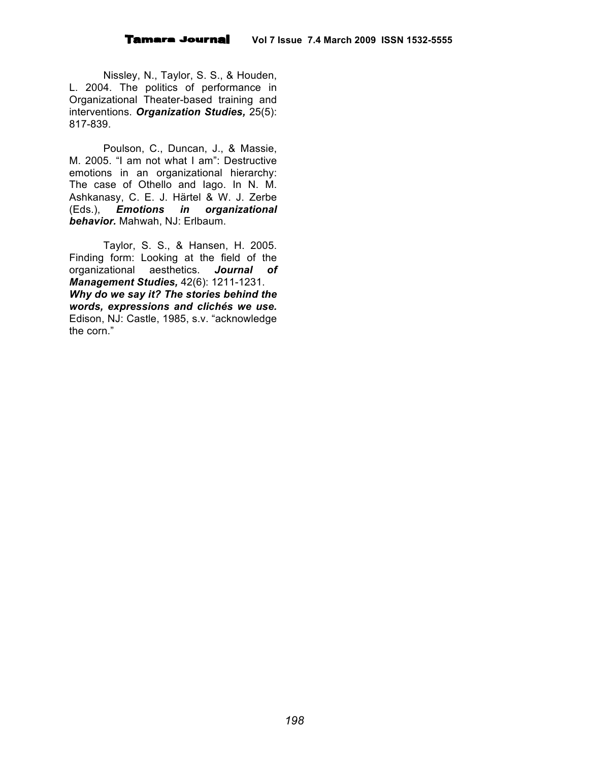Nissley, N., Taylor, S. S., & Houden, L. 2004. The politics of performance in Organizational Theater-based training and interventions. *Organization Studies,* 25(5): 817-839.

Poulson, C., Duncan, J., & Massie, M. 2005. "I am not what I am": Destructive emotions in an organizational hierarchy: The case of Othello and Iago. In N. M. Ashkanasy, C. E. J. Härtel & W. J. Zerbe (Eds.), *Emotions in organizational behavior.* Mahwah, NJ: Erlbaum.

Taylor, S. S., & Hansen, H. 2005. Finding form: Looking at the field of the organizational aesthetics. *Journal of Management Studies,* 42(6): 1211-1231. *Why do we say it? The stories behind the words, expressions and clichés we use.* Edison, NJ: Castle, 1985, s.v. "acknowledge the corn."